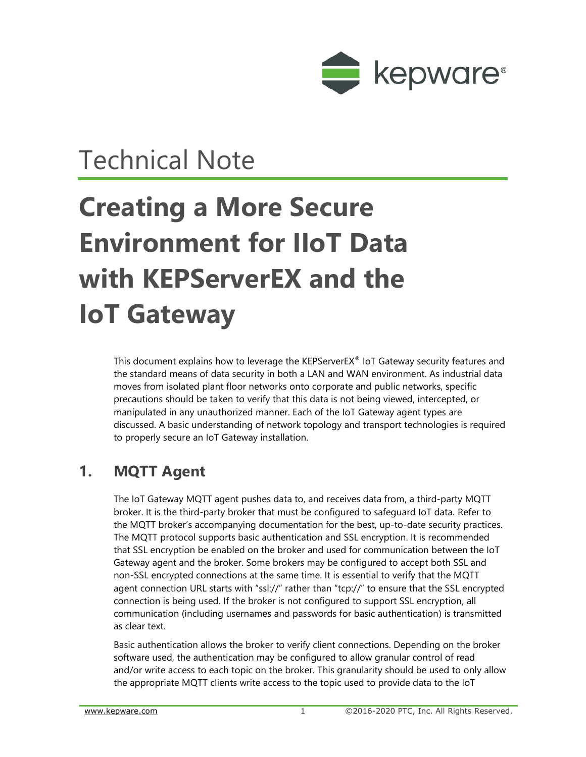

## Technical Note

# **Creating a More Secure Environment for IIoT Data with KEPServerEX and the IoT Gateway**

This document explains how to leverage the KEPServerEX® IoT Gateway security features and the standard means of data security in both a LAN and WAN environment. As industrial data moves from isolated plant floor networks onto corporate and public networks, specific precautions should be taken to verify that this data is not being viewed, intercepted, or manipulated in any unauthorized manner. Each of the IoT Gateway agent types are discussed. A basic understanding of network topology and transport technologies is required to properly secure an IoT Gateway installation.

### **1. MQTT Agent**

The IoT Gateway MQTT agent pushes data to, and receives data from, a third-party MQTT broker. It is the third-party broker that must be configured to safeguard IoT data. Refer to the MQTT broker's accompanying documentation for the best, up-to-date security practices. The MQTT protocol supports basic authentication and SSL encryption. It is recommended that SSL encryption be enabled on the broker and used for communication between the IoT Gateway agent and the broker. Some brokers may be configured to accept both SSL and non-SSL encrypted connections at the same time. It is essential to verify that the MQTT agent connection URL starts with "ssl://" rather than "tcp://" to ensure that the SSL encrypted connection is being used. If the broker is not configured to support SSL encryption, all communication (including usernames and passwords for basic authentication) is transmitted as clear text.

Basic authentication allows the broker to verify client connections. Depending on the broker software used, the authentication may be configured to allow granular control of read and/or write access to each topic on the broker. This granularity should be used to only allow the appropriate MQTT clients write access to the topic used to provide data to the IoT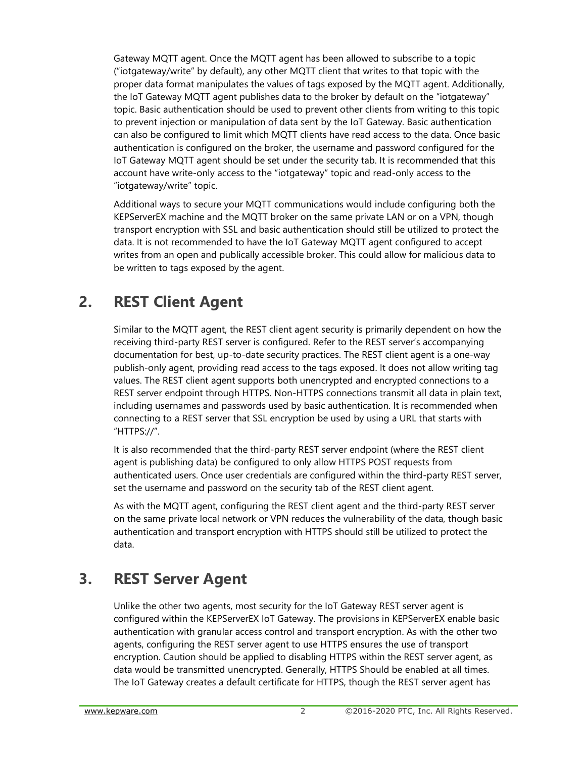Gateway MQTT agent. Once the MQTT agent has been allowed to subscribe to a topic ("iotgateway/write" by default), any other MQTT client that writes to that topic with the proper data format manipulates the values of tags exposed by the MQTT agent. Additionally, the IoT Gateway MQTT agent publishes data to the broker by default on the "iotgateway" topic. Basic authentication should be used to prevent other clients from writing to this topic to prevent injection or manipulation of data sent by the IoT Gateway. Basic authentication can also be configured to limit which MQTT clients have read access to the data. Once basic authentication is configured on the broker, the username and password configured for the IoT Gateway MQTT agent should be set under the security tab. It is recommended that this account have write-only access to the "iotgateway" topic and read-only access to the "iotgateway/write" topic.

Additional ways to secure your MQTT communications would include configuring both the KEPServerEX machine and the MQTT broker on the same private LAN or on a VPN, though transport encryption with SSL and basic authentication should still be utilized to protect the data. It is not recommended to have the IoT Gateway MQTT agent configured to accept writes from an open and publically accessible broker. This could allow for malicious data to be written to tags exposed by the agent.

### **2. REST Client Agent**

Similar to the MQTT agent, the REST client agent security is primarily dependent on how the receiving third-party REST server is configured. Refer to the REST server's accompanying documentation for best, up-to-date security practices. The REST client agent is a one-way publish-only agent, providing read access to the tags exposed. It does not allow writing tag values. The REST client agent supports both unencrypted and encrypted connections to a REST server endpoint through HTTPS. Non-HTTPS connections transmit all data in plain text, including usernames and passwords used by basic authentication. It is recommended when connecting to a REST server that SSL encryption be used by using a URL that starts with "HTTPS://".

It is also recommended that the third-party REST server endpoint (where the REST client agent is publishing data) be configured to only allow HTTPS POST requests from authenticated users. Once user credentials are configured within the third-party REST server, set the username and password on the security tab of the REST client agent.

As with the MQTT agent, configuring the REST client agent and the third-party REST server on the same private local network or VPN reduces the vulnerability of the data, though basic authentication and transport encryption with HTTPS should still be utilized to protect the data.

### **3. REST Server Agent**

Unlike the other two agents, most security for the IoT Gateway REST server agent is configured within the KEPServerEX IoT Gateway. The provisions in KEPServerEX enable basic authentication with granular access control and transport encryption. As with the other two agents, configuring the REST server agent to use HTTPS ensures the use of transport encryption. Caution should be applied to disabling HTTPS within the REST server agent, as data would be transmitted unencrypted. Generally, HTTPS Should be enabled at all times. The IoT Gateway creates a default certificate for HTTPS, though the REST server agent has